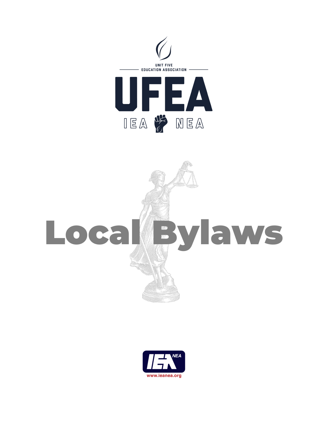

# Local Maylaws

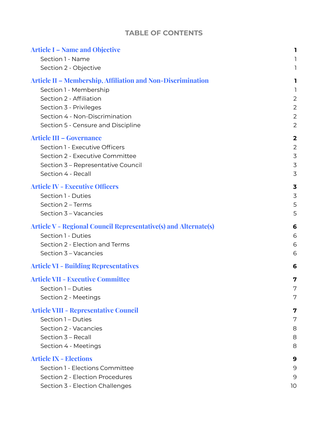## **TABLE OF CONTENTS**

| <b>Article I – Name and Objective</b>                                  | 1.                      |
|------------------------------------------------------------------------|-------------------------|
| Section 1 - Name                                                       | 1                       |
| Section 2 - Objective                                                  | 1                       |
| <b>Article II – Membership, Affiliation and Non-Discrimination</b>     | L                       |
| Section 1 - Membership                                                 | 1                       |
| Section 2 - Affiliation                                                | 2                       |
| Section 3 - Privileges                                                 | $\overline{2}$          |
| Section 4 - Non-Discrimination                                         | $\overline{2}$          |
| Section 5 - Censure and Discipline                                     | $\overline{2}$          |
| <b>Article III - Governance</b>                                        | $\overline{\mathbf{2}}$ |
| Section 1 - Executive Officers                                         | $\overline{2}$          |
| Section 2 - Executive Committee                                        | $\overline{3}$          |
| Section 3 - Representative Council                                     | $\overline{3}$          |
| Section 4 - Recall                                                     | $\overline{3}$          |
| <b>Article IV - Executive Officers</b>                                 | 3                       |
| Section 1 - Duties                                                     | $\overline{3}$          |
| Section 2 - Terms                                                      | 5                       |
| Section 3 - Vacancies                                                  | 5                       |
| <b>Article V - Regional Council Representative(s) and Alternate(s)</b> | 6                       |
| Section 1 - Duties                                                     | 6                       |
| Section 2 - Election and Terms                                         | 6                       |
| Section 3 - Vacancies                                                  | 6                       |
| <b>Article VI - Building Representatives</b>                           | 6                       |
| <b>Article VII - Executive Committee</b>                               | 7                       |
| Section 1 - Duties                                                     | 7                       |
| Section 2 - Meetings                                                   | 7                       |
| <b>Article VIII - Representative Council</b>                           | 7                       |
| Section 1 - Duties                                                     | 7                       |
| Section 2 - Vacancies                                                  | 8                       |
| Section 3 - Recall                                                     | 8                       |
| Section 4 - Meetings                                                   | 8                       |
| <b>Article IX - Elections</b>                                          | 9                       |
| Section 1 - Elections Committee                                        | 9                       |
| Section 2 - Election Procedures                                        | 9                       |
| Section 3 - Election Challenges                                        | 10                      |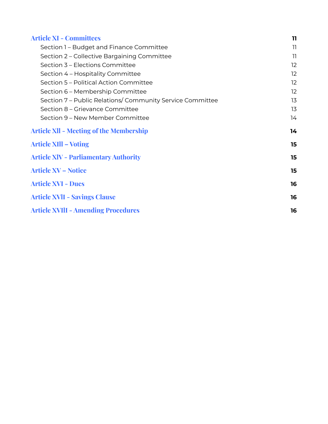| <b>Article XI - Committees</b>                            | $\mathbf{1}$      |
|-----------------------------------------------------------|-------------------|
| Section 1 - Budget and Finance Committee                  | 11                |
| Section 2 – Collective Bargaining Committee               | 11                |
| Section 3 - Elections Committee                           | $12 \overline{ }$ |
| Section 4 - Hospitality Committee                         | 12                |
| Section 5 - Political Action Committee                    | 12                |
| Section 6 - Membership Committee                          | 12                |
| Section 7 - Public Relations/ Community Service Committee | 13                |
| Section 8 – Grievance Committee                           | 13                |
| Section 9 - New Member Committee                          | 14                |
| <b>Article XII - Meeting of the Membership</b>            | 14                |
| <b>Article XIII – Voting</b>                              | 15                |
| <b>Article XIV - Parliamentary Authority</b>              | 15                |
| <b>Article XV – Notice</b>                                | 15                |
| <b>Article XVI - Dues</b>                                 | 16                |
| <b>Article XVII - Savings Clause</b>                      | 16                |
| <b>Article XVIII - Amending Procedures</b>                | 16                |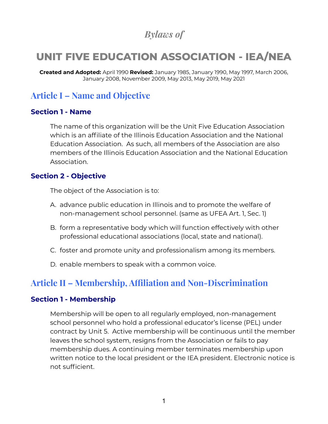## *Bylaws of*

# **UNIT FIVE EDUCATION ASSOCIATION - IEA/NEA**

**Created and Adopted:** April 1990 **Revised:** January 1985, January 1990, May 1997, March 2006, January 2008, November 2009, May 2013, May 2019, May 2021

## <span id="page-3-0"></span>**Article I – Name and Objective**

#### <span id="page-3-1"></span>**Section 1 - Name**

The name of this organization will be the Unit Five Education Association which is an affiliate of the Illinois Education Association and the National Education Association. As such, all members of the Association are also members of the Illinois Education Association and the National Education Association.

#### <span id="page-3-2"></span>**Section 2 - Objective**

The object of the Association is to:

- A. advance public education in Illinois and to promote the welfare of non-management school personnel. (same as UFEA Art. 1, Sec. 1)
- B. form a representative body which will function effectively with other professional educational associations (local, state and national).
- C. foster and promote unity and professionalism among its members.
- D. enable members to speak with a common voice.

# <span id="page-3-3"></span>**Article II – Membership, Affiliation and Non-Discrimination**

#### <span id="page-3-4"></span>**Section 1 - Membership**

Membership will be open to all regularly employed, non-management school personnel who hold a professional educator's license (PEL) under contract by Unit 5. Active membership will be continuous until the member leaves the school system, resigns from the Association or fails to pay membership dues. A continuing member terminates membership upon written notice to the local president or the IEA president. Electronic notice is not sufficient.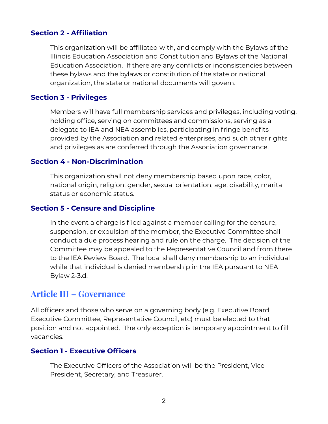## <span id="page-4-0"></span>**Section 2 - Affiliation**

This organization will be affiliated with, and comply with the Bylaws of the Illinois Education Association and Constitution and Bylaws of the National Education Association. If there are any conflicts or inconsistencies between these bylaws and the bylaws or constitution of the state or national organization, the state or national documents will govern.

#### <span id="page-4-1"></span>**Section 3 - Privileges**

Members will have full membership services and privileges, including voting, holding office, serving on committees and commissions, serving as a delegate to IEA and NEA assemblies, participating in fringe benefits provided by the Association and related enterprises, and such other rights and privileges as are conferred through the Association governance.

#### <span id="page-4-2"></span>**Section 4 - Non-Discrimination**

This organization shall not deny membership based upon race, color, national origin, religion, gender, sexual orientation, age, disability, marital status or economic status.

#### <span id="page-4-3"></span>**Section 5 - Censure and Discipline**

In the event a charge is filed against a member calling for the censure, suspension, or expulsion of the member, the Executive Committee shall conduct a due process hearing and rule on the charge. The decision of the Committee may be appealed to the Representative Council and from there to the IEA Review Board. The local shall deny membership to an individual while that individual is denied membership in the IEA pursuant to NEA Bylaw 2-3.d.

## <span id="page-4-4"></span>**Article III – Governance**

All officers and those who serve on a governing body (e.g. Executive Board, Executive Committee, Representative Council, etc) must be elected to that position and not appointed. The only exception is temporary appointment to fill vacancies.

#### <span id="page-4-5"></span>**Section 1 - Executive Officers**

The Executive Officers of the Association will be the President, Vice President, Secretary, and Treasurer.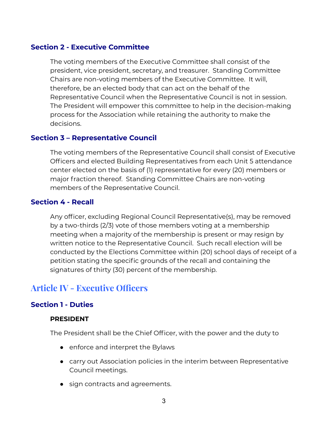#### <span id="page-5-0"></span>**Section 2 - Executive Committee**

The voting members of the Executive Committee shall consist of the president, vice president, secretary, and treasurer. Standing Committee Chairs are non-voting members of the Executive Committee. It will, therefore, be an elected body that can act on the behalf of the Representative Council when the Representative Council is not in session. The President will empower this committee to help in the decision-making process for the Association while retaining the authority to make the decisions.

#### <span id="page-5-1"></span>**Section 3 – Representative Council**

The voting members of the Representative Council shall consist of Executive Officers and elected Building Representatives from each Unit 5 attendance center elected on the basis of (1) representative for every (20) members or major fraction thereof. Standing Committee Chairs are non-voting members of the Representative Council.

#### <span id="page-5-2"></span>**Section 4 - Recall**

Any officer, excluding Regional Council Representative(s), may be removed by a two-thirds (2/3) vote of those members voting at a membership meeting when a majority of the membership is present or may resign by written notice to the Representative Council. Such recall election will be conducted by the Elections Committee within (20) school days of receipt of a petition stating the specific grounds of the recall and containing the signatures of thirty (30) percent of the membership.

## <span id="page-5-3"></span>**Article IV - Executive Officers**

#### <span id="page-5-4"></span>**Section 1 - Duties**

#### **PRESIDENT**

The President shall be the Chief Officer, with the power and the duty to

- enforce and interpret the Bylaws
- carry out Association policies in the interim between Representative Council meetings.
- sign contracts and agreements.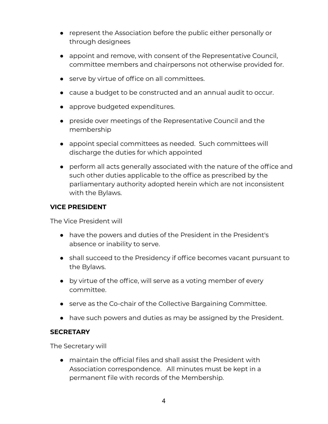- represent the Association before the public either personally or through designees
- appoint and remove, with consent of the Representative Council, committee members and chairpersons not otherwise provided for.
- serve by virtue of office on all committees.
- cause a budget to be constructed and an annual audit to occur.
- approve budgeted expenditures.
- preside over meetings of the Representative Council and the membership
- appoint special committees as needed. Such committees will discharge the duties for which appointed
- perform all acts generally associated with the nature of the office and such other duties applicable to the office as prescribed by the parliamentary authority adopted herein which are not inconsistent with the Bylaws.

#### **VICE PRESIDENT**

The Vice President will

- have the powers and duties of the President in the President's absence or inability to serve.
- shall succeed to the Presidency if office becomes vacant pursuant to the Bylaws.
- by virtue of the office, will serve as a voting member of every committee.
- serve as the Co-chair of the Collective Bargaining Committee.
- have such powers and duties as may be assigned by the President.

#### **SECRETARY**

The Secretary will

● maintain the official files and shall assist the President with Association correspondence. All minutes must be kept in a permanent file with records of the Membership.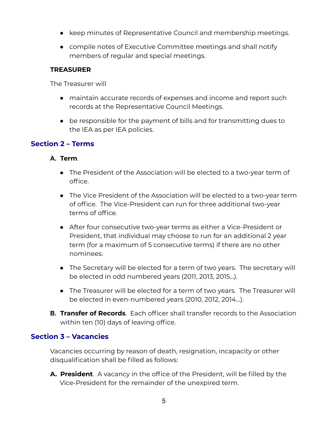- keep minutes of Representative Council and membership meetings.
- compile notes of Executive Committee meetings and shall notify members of regular and special meetings.

#### **TREASURER**

The Treasurer will

- maintain accurate records of expenses and income and report such records at the Representative Council Meetings.
- be responsible for the payment of bills and for transmitting dues to the IEA as per IEA policies.

## <span id="page-7-0"></span>**Section 2 – Terms**

### **A. Term**.

- **●** The President of the Association will be elected to a two-year term of office.
- **●** The Vice President of the Association will be elected to a two-year term of office. The Vice-President can run for three additional two-year terms of office.
- **●** After four consecutive two-year terms as either a Vice-President or President, that individual may choose to run for an additional 2 year term (for a maximum of 5 consecutive terms) if there are no other nominees.
- **●** The Secretary will be elected for a term of two years. The secretary will be elected in odd numbered years (2011, 2013, 2015…).
- **●** The Treasurer will be elected for a term of two years. The Treasurer will be elected in even-numbered years (2010, 2012, 2014…).
- **B. Transfer of Records**. Each officer shall transfer records to the Association within ten (10) days of leaving office.

## <span id="page-7-1"></span>**Section 3 – Vacancies**

Vacancies occurring by reason of death, resignation, incapacity or other disqualification shall be filled as follows:

**A. President**. A vacancy in the office of the President, will be filled by the Vice-President for the remainder of the unexpired term.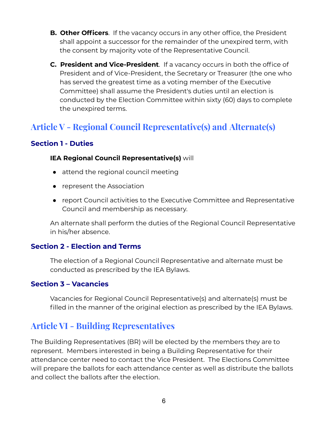- **B. Other Officers**. If the vacancy occurs in any other office, the President shall appoint a successor for the remainder of the unexpired term, with the consent by majority vote of the Representative Council.
- **C. President and Vice-President**. If a vacancy occurs in both the office of President and of Vice-President, the Secretary or Treasurer (the one who has served the greatest time as a voting member of the Executive Committee) shall assume the President's duties until an election is conducted by the Election Committee within sixty (60) days to complete the unexpired terms.

# <span id="page-8-0"></span>**Article V - Regional Council Representative(s) and Alternate(s)**

## <span id="page-8-1"></span>**Section 1 - Duties**

#### **IEA Regional Council Representative(s)** will

- attend the regional council meeting
- represent the Association
- report Council activities to the Executive Committee and Representative Council and membership as necessary.

An alternate shall perform the duties of the Regional Council Representative in his/her absence.

## <span id="page-8-2"></span>**Section 2 - Election and Terms**

The election of a Regional Council Representative and alternate must be conducted as prescribed by the IEA Bylaws.

#### <span id="page-8-3"></span>**Section 3 – Vacancies**

Vacancies for Regional Council Representative(s) and alternate(s) must be filled in the manner of the original election as prescribed by the IEA Bylaws.

## <span id="page-8-4"></span>**Article VI - Building Representatives**

The Building Representatives (BR) will be elected by the members they are to represent. Members interested in being a Building Representative for their attendance center need to contact the Vice President. The Elections Committee will prepare the ballots for each attendance center as well as distribute the ballots and collect the ballots after the election.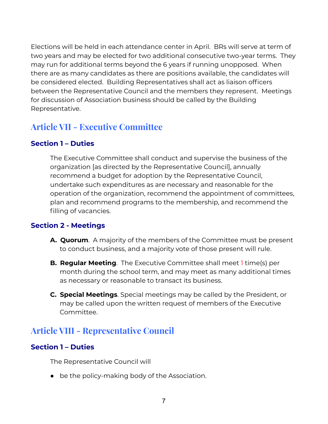Elections will be held in each attendance center in April. BRs will serve at term of two years and may be elected for two additional consecutive two-year terms. They may run for additional terms beyond the 6 years if running unopposed. When there are as many candidates as there are positions available, the candidates will be considered elected. Building Representatives shall act as liaison officers between the Representative Council and the members they represent. Meetings for discussion of Association business should be called by the Building Representative.

# <span id="page-9-0"></span>**Article VII - Executive Committee**

## <span id="page-9-1"></span>**Section 1 – Duties**

The Executive Committee shall conduct and supervise the business of the organization [as directed by the Representative Council], annually recommend a budget for adoption by the Representative Council, undertake such expenditures as are necessary and reasonable for the operation of the organization, recommend the appointment of committees, plan and recommend programs to the membership, and recommend the filling of vacancies.

## <span id="page-9-2"></span>**Section 2 - Meetings**

- **A. Quorum**. A majority of the members of the Committee must be present to conduct business, and a majority vote of those present will rule.
- **B. Regular Meeting**. The Executive Committee shall meet 1 time(s) per month during the school term, and may meet as many additional times as necessary or reasonable to transact its business.
- **C. Special Meetings**. Special meetings may be called by the President, or may be called upon the written request of members of the Executive Committee.

## <span id="page-9-3"></span>**Article VIII - Representative Council**

## <span id="page-9-4"></span>**Section 1 – Duties**

The Representative Council will

● be the policy-making body of the Association.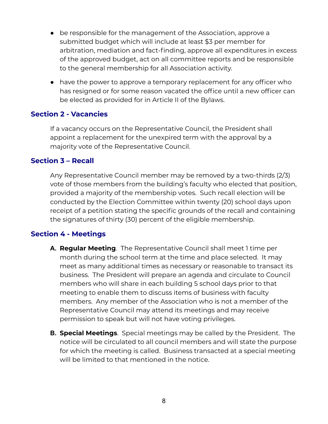- be responsible for the management of the Association, approve a submitted budget which will include at least \$3 per member for arbitration, mediation and fact-finding, approve all expenditures in excess of the approved budget, act on all committee reports and be responsible to the general membership for all Association activity.
- have the power to approve a temporary replacement for any officer who has resigned or for some reason vacated the office until a new officer can be elected as provided for in Article II of the Bylaws.

#### <span id="page-10-0"></span>**Section 2 - Vacancies**

If a vacancy occurs on the Representative Council, the President shall appoint a replacement for the unexpired term with the approval by a majority vote of the Representative Council.

#### <span id="page-10-1"></span>**Section 3 – Recall**

Any Representative Council member may be removed by a two-thirds (2/3) vote of those members from the building's faculty who elected that position, provided a majority of the membership votes. Such recall election will be conducted by the Election Committee within twenty (20) school days upon receipt of a petition stating the specific grounds of the recall and containing the signatures of thirty (30) percent of the eligible membership.

#### <span id="page-10-2"></span>**Section 4 - Meetings**

- **A. Regular Meeting**. The Representative Council shall meet 1 time per month during the school term at the time and place selected. It may meet as many additional times as necessary or reasonable to transact its business. The President will prepare an agenda and circulate to Council members who will share in each building 5 school days prior to that meeting to enable them to discuss items of business with faculty members. Any member of the Association who is not a member of the Representative Council may attend its meetings and may receive permission to speak but will not have voting privileges.
- **B. Special Meetings**. Special meetings may be called by the President. The notice will be circulated to all council members and will state the purpose for which the meeting is called. Business transacted at a special meeting will be limited to that mentioned in the notice.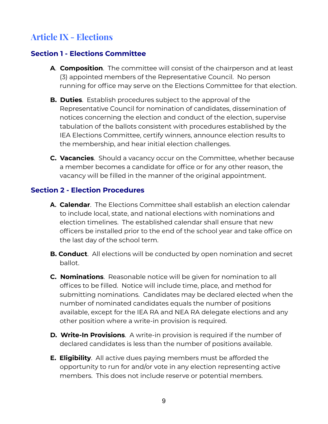# <span id="page-11-0"></span>**Article IX - Elections**

## <span id="page-11-1"></span>**Section 1 - Elections Committee**

- **A**. **Composition**. The committee will consist of the chairperson and at least (3) appointed members of the Representative Council. No person running for office may serve on the Elections Committee for that election.
- **B. Duties**. Establish procedures subject to the approval of the Representative Council for nomination of candidates, dissemination of notices concerning the election and conduct of the election, supervise tabulation of the ballots consistent with procedures established by the IEA Elections Committee, certify winners, announce election results to the membership, and hear initial election challenges.
- **C. Vacancies**. Should a vacancy occur on the Committee, whether because a member becomes a candidate for office or for any other reason, the vacancy will be filled in the manner of the original appointment.

#### <span id="page-11-2"></span>**Section 2 - Election Procedures**

- **A. Calendar**. The Elections Committee shall establish an election calendar to include local, state, and national elections with nominations and election timelines. The established calendar shall ensure that new officers be installed prior to the end of the school year and take office on the last day of the school term.
- **B. Conduct**. All elections will be conducted by open nomination and secret ballot.
- **C. Nominations**. Reasonable notice will be given for nomination to all offices to be filled. Notice will include time, place, and method for submitting nominations. Candidates may be declared elected when the number of nominated candidates equals the number of positions available, except for the IEA RA and NEA RA delegate elections and any other position where a write-in provision is required.
- **D. Write-In Provisions**. A write-in provision is required if the number of declared candidates is less than the number of positions available.
- **E. Eligibility**. All active dues paying members must be afforded the opportunity to run for and/or vote in any election representing active members. This does not include reserve or potential members.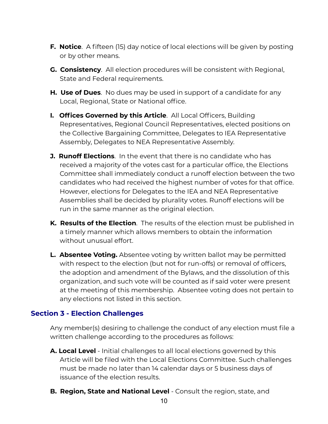- **F. Notice**. A fifteen (15) day notice of local elections will be given by posting or by other means.
- **G. Consistency**. All election procedures will be consistent with Regional, State and Federal requirements.
- **H. Use of Dues**. No dues may be used in support of a candidate for any Local, Regional, State or National office.
- **I. Offices Governed by this Article**. All Local Officers, Building Representatives, Regional Council Representatives, elected positions on the Collective Bargaining Committee, Delegates to IEA Representative Assembly, Delegates to NEA Representative Assembly.
- **J. Runoff Elections**. In the event that there is no candidate who has received a majority of the votes cast for a particular office, the Elections Committee shall immediately conduct a runoff election between the two candidates who had received the highest number of votes for that office. However, elections for Delegates to the IEA and NEA Representative Assemblies shall be decided by plurality votes. Runoff elections will be run in the same manner as the original election.
- **K. Results of the Election**. The results of the election must be published in a timely manner which allows members to obtain the information without unusual effort.
- **L. Absentee Voting.** Absentee voting by written ballot may be permitted with respect to the election (but not for run-offs) or removal of officers, the adoption and amendment of the Bylaws, and the dissolution of this organization, and such vote will be counted as if said voter were present at the meeting of this membership. Absentee voting does not pertain to any elections not listed in this section.

## <span id="page-12-0"></span>**Section 3 - Election Challenges**

Any member(s) desiring to challenge the conduct of any election must file a written challenge according to the procedures as follows:

- **A. Local Level** Initial challenges to all local elections governed by this Article will be filed with the Local Elections Committee. Such challenges must be made no later than 14 calendar days or 5 business days of issuance of the election results.
- **B. Region, State and National Level** Consult the region, state, and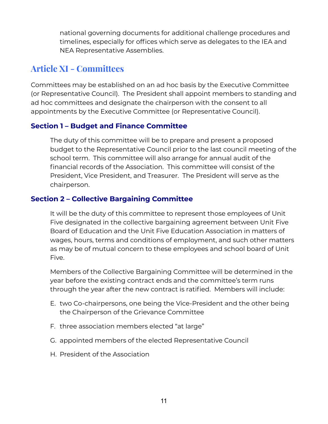national governing documents for additional challenge procedures and timelines, especially for offices which serve as delegates to the IEA and NEA Representative Assemblies.

## <span id="page-13-0"></span>**Article XI - Committees**

Committees may be established on an ad hoc basis by the Executive Committee (or Representative Council). The President shall appoint members to standing and ad hoc committees and designate the chairperson with the consent to all appointments by the Executive Committee (or Representative Council).

## <span id="page-13-1"></span>**Section 1 – Budget and Finance Committee**

The duty of this committee will be to prepare and present a proposed budget to the Representative Council prior to the last council meeting of the school term. This committee will also arrange for annual audit of the financial records of the Association. This committee will consist of the President, Vice President, and Treasurer. The President will serve as the chairperson.

## <span id="page-13-2"></span>**Section 2 – Collective Bargaining Committee**

It will be the duty of this committee to represent those employees of Unit Five designated in the collective bargaining agreement between Unit Five Board of Education and the Unit Five Education Association in matters of wages, hours, terms and conditions of employment, and such other matters as may be of mutual concern to these employees and school board of Unit Five.

Members of the Collective Bargaining Committee will be determined in the year before the existing contract ends and the committee's term runs through the year after the new contract is ratified. Members will include:

- E. two Co-chairpersons, one being the Vice-President and the other being the Chairperson of the Grievance Committee
- F. three association members elected "at large"
- G. appointed members of the elected Representative Council
- H. President of the Association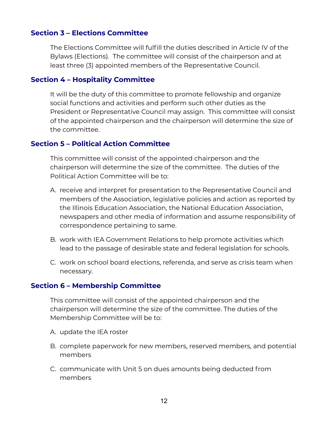### <span id="page-14-0"></span>**Section 3 – Elections Committee**

The Elections Committee will fulfill the duties described in Article IV of the Bylaws (Elections). The committee will consist of the chairperson and at least three (3) appointed members of the Representative Council.

#### <span id="page-14-1"></span>**Section 4 – Hospitality Committee**

It will be the duty of this committee to promote fellowship and organize social functions and activities and perform such other duties as the President or Representative Council may assign. This committee will consist of the appointed chairperson and the chairperson will determine the size of the committee.

#### <span id="page-14-2"></span>**Section 5 – Political Action Committee**

This committee will consist of the appointed chairperson and the chairperson will determine the size of the committee. The duties of the Political Action Committee will be to:

- A. receive and interpret for presentation to the Representative Council and members of the Association, legislative policies and action as reported by the Illinois Education Association, the National Education Association, newspapers and other media of information and assume responsibility of correspondence pertaining to same.
- B. work with IEA Government Relations to help promote activities which lead to the passage of desirable state and federal legislation for schools.
- C. work on school board elections, referenda, and serve as crisis team when necessary.

#### <span id="page-14-3"></span>**Section 6 – Membership Committee**

This committee will consist of the appointed chairperson and the chairperson will determine the size of the committee. The duties of the Membership Committee will be to:

- A. update the IEA [roster](https://3pf92a428h7y2o2e1d3olqk2-wpengine.netdna-ssl.com/wp-content/uploads/2016/08/Q5.docx)
- B. complete paperwork for new members, reserved members, and potential members
- C. communicate with Unit 5 on dues amounts being deducted from members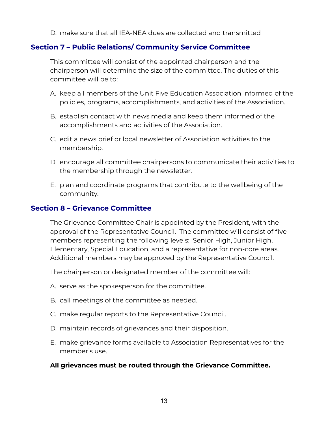D. make sure that all IEA-NEA dues are collected and [transmitted](https://3pf92a428h7y2o2e1d3olqk2-wpengine.netdna-ssl.com/wp-content/uploads/2016/08/Q7.docx)

## <span id="page-15-0"></span>**Section 7 – Public Relations/ Community Service Committee**

This committee will consist of the appointed chairperson and the chairperson will determine the size of the committee. The duties of this committee will be to:

- A. keep all members of the Unit Five Education Association informed of the policies, programs, accomplishments, and activities of the Association.
- B. establish contact with news media and keep them informed of the accomplishments and activities of the Association.
- C. edit a news brief or local newsletter of Association activities to the membership.
- D. encourage all committee chairpersons to communicate their activities to the membership through the newsletter.
- E. plan and coordinate programs that contribute to the wellbeing of the community.

### <span id="page-15-1"></span>**Section 8 – Grievance Committee**

The Grievance Committee Chair is appointed by the President, with the approval of the Representative Council. The committee will consist of five members representing the following levels: Senior High, Junior High, Elementary, Special Education, and a representative for non-core areas. Additional members may be approved by the Representative Council.

The chairperson or designated member of the committee will:

- A. serve as the spokesperson for the committee.
- B. call meetings of the committee as needed.
- C. make regular reports to the Representative Council.
- D. maintain records of grievances and their disposition.
- E. make grievance forms available to Association Representatives for the member's use.

#### **All grievances must be routed through the Grievance Committee.**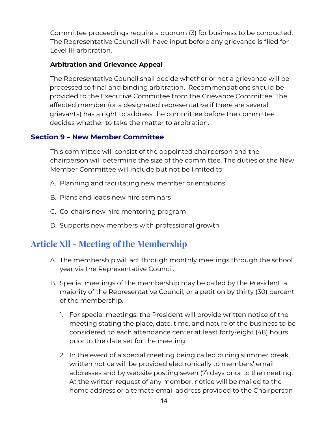Committee proceedings require a quorum (3) for business to be conducted. The Representative Council will have input before any grievance is filed for Level III-arbitration.

#### **Arbitration and Grievance Appeal**

The Representative Council shall decide whether or not a grievance will be processed to final and binding arbitration. Recommendations should be provided to the Executive Committee from the Grievance Committee. The affected member (or a designated representative if there are several grievants) has a right to address the committee before the committee decides whether to take the matter to arbitration.

### <span id="page-16-0"></span>**Section 9 – New Member Committee**

This committee will consist of the appointed chairperson and the chairperson will determine the size of the committee. The duties of the New Member Committee will include but not be limited to:

- A. Planning and facilitating new member orientations
- B. Plans and leads new hire seminars
- C. Co-chairs new hire mentoring program
- D. Supports new members with professional growth

# <span id="page-16-1"></span>**Article Xll - Meeting of the Membership**

- A. The membership will act through monthly meetings through the school year via the Representative Council.
- B. Special meetings of the membership may be called by the President, a majority of the Representative Council, or a petition by thirty (30) percent of the membership.
	- 1. For special meetings, the President will provide written notice of the meeting stating the place, date, time, and nature of the business to be considered, to each attendance center at least forty-eight (48) hours prior to the date set for the meeting.
	- 2. In the event of a special meeting being called during summer break, written notice will be provided electronically to members' email addresses and by website posting seven (7) days prior to the meeting. At the written request of any member, notice will be mailed to the home address or alternate email address provided to the Chairperson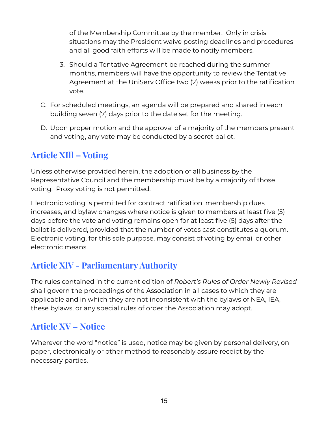of the Membership Committee by the member. Only in crisis situations may the President waive posting deadlines and procedures and all good faith efforts will be made to notify members.

- 3. Should a Tentative Agreement be reached during the summer months, members will have the opportunity to review the Tentative Agreement at the UniServ Office two (2) weeks prior to the ratification vote.
- C. For scheduled meetings, an agenda will be prepared and shared in each building seven (7) days prior to the date set for the meeting.
- D. Upon proper motion and the approval of a majority of the members present and voting, any vote may be conducted by a secret ballot.

# <span id="page-17-0"></span>**Article XIll – Voting**

Unless otherwise provided herein, the adoption of all business by the Representative Council and the membership must be by a majority of those voting. Proxy voting is not permitted.

Electronic voting is permitted for contract ratification, membership dues increases, and bylaw changes where notice is given to members at least five (5) days before the vote and voting remains open for at least five (5) days after the ballot is delivered, provided that the number of votes cast constitutes a quorum. Electronic voting, for this sole purpose, may consist of voting by email or other electronic means.

# <span id="page-17-1"></span>**Article XlV - ParliamentaryAuthority**

The rules contained in the current edition of *Robert's Rules of Order Newly Revised* shall govern the proceedings of the Association in all cases to which they are applicable and in which they are not inconsistent with the bylaws of NEA, IEA, these bylaws, or any special rules of order the Association may adopt.

# <span id="page-17-2"></span>**Article XV – Notice**

Wherever the word "notice" is used, notice may be given by personal delivery, on paper, electronically or other method to reasonably assure receipt by the necessary parties.